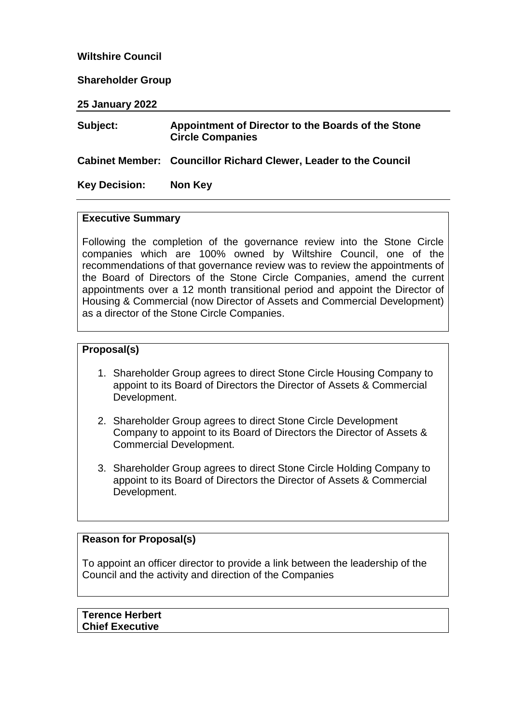| <b>Wiltshire Council</b> |                          |                                                                               |
|--------------------------|--------------------------|-------------------------------------------------------------------------------|
|                          | <b>Shareholder Group</b> |                                                                               |
|                          | <b>25 January 2022</b>   |                                                                               |
|                          | Subject:                 | Appointment of Director to the Boards of the Stone<br><b>Circle Companies</b> |
|                          |                          | <b>Cabinet Member: Councillor Richard Clewer, Leader to the Council</b>       |
|                          | <b>Key Decision:</b>     | <b>Non Kev</b>                                                                |

#### **Executive Summary**

Following the completion of the governance review into the Stone Circle companies which are 100% owned by Wiltshire Council, one of the recommendations of that governance review was to review the appointments of the Board of Directors of the Stone Circle Companies, amend the current appointments over a 12 month transitional period and appoint the Director of Housing & Commercial (now Director of Assets and Commercial Development) as a director of the Stone Circle Companies.

## **Proposal(s)**

- 1. Shareholder Group agrees to direct Stone Circle Housing Company to appoint to its Board of Directors the Director of Assets & Commercial Development.
- 2. Shareholder Group agrees to direct Stone Circle Development Company to appoint to its Board of Directors the Director of Assets & Commercial Development.
- 3. Shareholder Group agrees to direct Stone Circle Holding Company to appoint to its Board of Directors the Director of Assets & Commercial Development.

# **Reason for Proposal(s)**

To appoint an officer director to provide a link between the leadership of the Council and the activity and direction of the Companies

**Terence Herbert Chief Executive**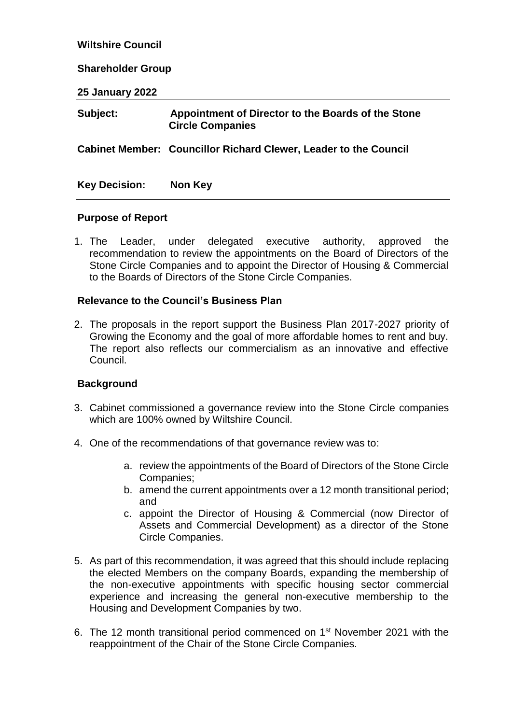| <b>Wiltshire Council</b><br><b>Shareholder Group</b><br><b>25 January 2022</b> |         |  |          |                                                                               |
|--------------------------------------------------------------------------------|---------|--|----------|-------------------------------------------------------------------------------|
|                                                                                |         |  | Subject: | Appointment of Director to the Boards of the Stone<br><b>Circle Companies</b> |
|                                                                                |         |  |          | <b>Cabinet Member: Councillor Richard Clewer, Leader to the Council</b>       |
| <b>Key Decision:</b>                                                           | Non Key |  |          |                                                                               |

## **Purpose of Report**

1. The Leader, under delegated executive authority, approved the recommendation to review the appointments on the Board of Directors of the Stone Circle Companies and to appoint the Director of Housing & Commercial to the Boards of Directors of the Stone Circle Companies.

## **Relevance to the Council's Business Plan**

2. The proposals in the report support the Business Plan 2017-2027 priority of Growing the Economy and the goal of more affordable homes to rent and buy. The report also reflects our commercialism as an innovative and effective Council.

#### **Background**

- 3. Cabinet commissioned a governance review into the Stone Circle companies which are 100% owned by Wiltshire Council.
- 4. One of the recommendations of that governance review was to:
	- a. review the appointments of the Board of Directors of the Stone Circle Companies;
	- b. amend the current appointments over a 12 month transitional period; and
	- c. appoint the Director of Housing & Commercial (now Director of Assets and Commercial Development) as a director of the Stone Circle Companies.
- 5. As part of this recommendation, it was agreed that this should include replacing the elected Members on the company Boards, expanding the membership of the non-executive appointments with specific housing sector commercial experience and increasing the general non-executive membership to the Housing and Development Companies by two.
- 6. The 12 month transitional period commenced on 1st November 2021 with the reappointment of the Chair of the Stone Circle Companies.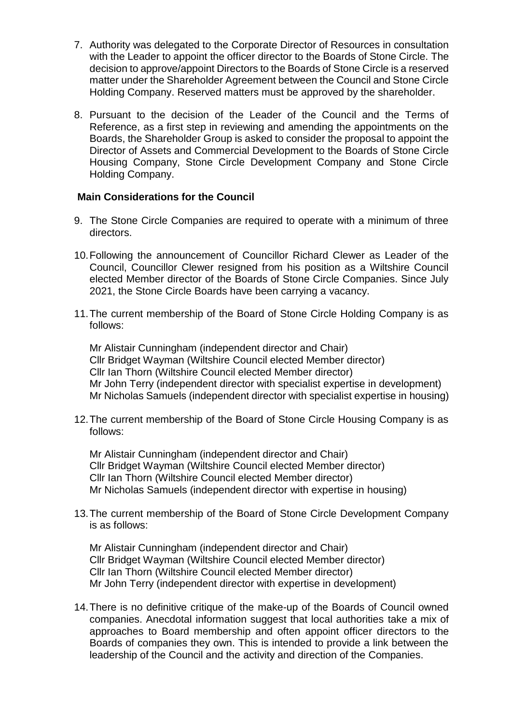- 7. Authority was delegated to the Corporate Director of Resources in consultation with the Leader to appoint the officer director to the Boards of Stone Circle. The decision to approve/appoint Directors to the Boards of Stone Circle is a reserved matter under the Shareholder Agreement between the Council and Stone Circle Holding Company. Reserved matters must be approved by the shareholder.
- 8. Pursuant to the decision of the Leader of the Council and the Terms of Reference, as a first step in reviewing and amending the appointments on the Boards, the Shareholder Group is asked to consider the proposal to appoint the Director of Assets and Commercial Development to the Boards of Stone Circle Housing Company, Stone Circle Development Company and Stone Circle Holding Company.

# **Main Considerations for the Council**

- 9. The Stone Circle Companies are required to operate with a minimum of three directors.
- 10.Following the announcement of Councillor Richard Clewer as Leader of the Council, Councillor Clewer resigned from his position as a Wiltshire Council elected Member director of the Boards of Stone Circle Companies. Since July 2021, the Stone Circle Boards have been carrying a vacancy.
- 11.The current membership of the Board of Stone Circle Holding Company is as follows:

Mr Alistair Cunningham (independent director and Chair) Cllr Bridget Wayman (Wiltshire Council elected Member director) Cllr Ian Thorn (Wiltshire Council elected Member director) Mr John Terry (independent director with specialist expertise in development) Mr Nicholas Samuels (independent director with specialist expertise in housing)

12.The current membership of the Board of Stone Circle Housing Company is as follows:

Mr Alistair Cunningham (independent director and Chair) Cllr Bridget Wayman (Wiltshire Council elected Member director) Cllr Ian Thorn (Wiltshire Council elected Member director) Mr Nicholas Samuels (independent director with expertise in housing)

13.The current membership of the Board of Stone Circle Development Company is as follows:

Mr Alistair Cunningham (independent director and Chair) Cllr Bridget Wayman (Wiltshire Council elected Member director) Cllr Ian Thorn (Wiltshire Council elected Member director) Mr John Terry (independent director with expertise in development)

14.There is no definitive critique of the make-up of the Boards of Council owned companies. Anecdotal information suggest that local authorities take a mix of approaches to Board membership and often appoint officer directors to the Boards of companies they own. This is intended to provide a link between the leadership of the Council and the activity and direction of the Companies.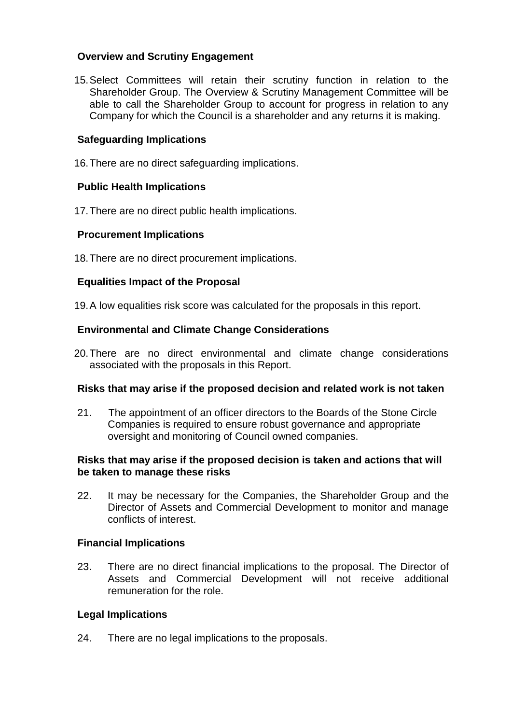# **Overview and Scrutiny Engagement**

15.Select Committees will retain their scrutiny function in relation to the Shareholder Group. The Overview & Scrutiny Management Committee will be able to call the Shareholder Group to account for progress in relation to any Company for which the Council is a shareholder and any returns it is making.

# **Safeguarding Implications**

16.There are no direct safeguarding implications.

## **Public Health Implications**

17.There are no direct public health implications.

## **Procurement Implications**

18.There are no direct procurement implications.

## **Equalities Impact of the Proposal**

19.A low equalities risk score was calculated for the proposals in this report.

## **Environmental and Climate Change Considerations**

20.There are no direct environmental and climate change considerations associated with the proposals in this Report.

#### **Risks that may arise if the proposed decision and related work is not taken**

21. The appointment of an officer directors to the Boards of the Stone Circle Companies is required to ensure robust governance and appropriate oversight and monitoring of Council owned companies.

## **Risks that may arise if the proposed decision is taken and actions that will be taken to manage these risks**

22. It may be necessary for the Companies, the Shareholder Group and the Director of Assets and Commercial Development to monitor and manage conflicts of interest.

#### **Financial Implications**

23. There are no direct financial implications to the proposal. The Director of Assets and Commercial Development will not receive additional remuneration for the role.

## **Legal Implications**

24. There are no legal implications to the proposals.